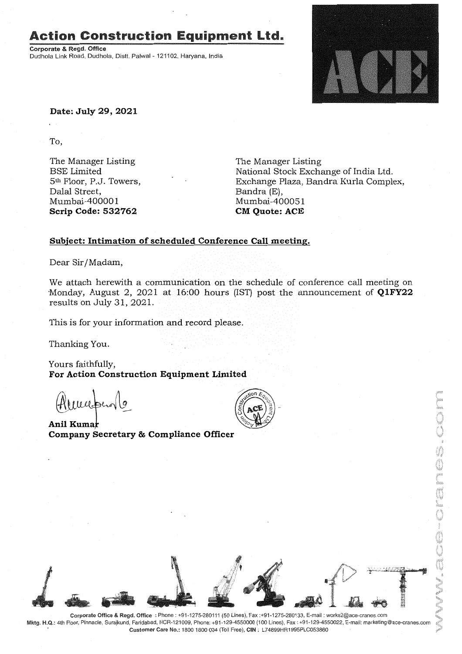### Action Construction Equipment Ltd..

Corporate & Regd. Office Dudhola Link Road, Dudhola, Distt. Palwal - 121102, Haryana, India



**Date: July 29,2021**

To,

The Manager Listing BSE Limited 5th Floor, P.J. Towers, Dalal Street, Mumbai-40000 1 **Scrip Code: 532762**

The Manager Listing National Stock Exchange of India Ltd. Exchange Plaza, Bandra Kurla Complex, Bandra (E), Mumbai-400051 **CM Quote: ACE**

#### **Subject: Intimation of scheduled Conference Call meeting.**

Dear Sir/Madam,

We attach herewith a communication on the schedule of conference call meeting on Monday, August 2, 2021 at  $16:00$  hours (IST) post the announcement of  $Q1FY22$ results on July 31, 2021.

This is for your information and record please.

Thanking You.

Yours faithfully, **For Action Construction Equipment Limited**

murpero la

**Ani! Kuma Company Secretary & Compliance Officer**





Mktg. H.Q.: 4th Floor, Pinnacle, Surajkund, Faridabad, NCR-121009, Phone: +91-129-4550000 (100 Lines), Fax: +91-129-4550022, E-mail: marketing@ace-cranes.com Customer Care No.: 1800 1800 004 (Toll Free), CIN: L74899HR1995PLC053860